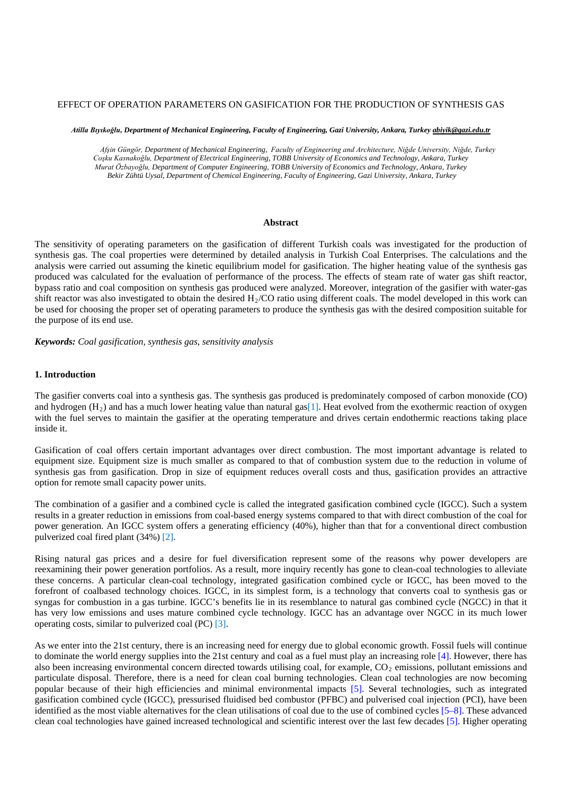# EFFECT OF OPERATION PARAMETERS ON GASIFICATION FOR THE PRODUCTION OF SYNTHESIS GAS

*Atilla Bıyıkoğlu, Department of Mechanical Engineering, Faculty of Engineering, Gazi University, Ankara, Turkey abiyik@gazi.edu.tr*

*Afşin Güngör, Department of Mechanical Engineering, Faculty of Engineering and Architecture, Niğde University, Niğde, Turkey Coşku Kasnakoğlu, Department of Electrical Engineering, TOBB University of Economics and Technology, Ankara, Turkey Murat Özbayoğlu, Department of Computer Engineering, TOBB University of Economics and Technology, Ankara, Turkey Bekir Zühtü Uysal, Department of Chemical Engineering, Faculty of Engineering, Gazi University, Ankara, Turkey*

#### **Abstract**

The sensitivity of operating parameters on the gasification of different Turkish coals was investigated for the production of synthesis gas. The coal properties were determined by detailed analysis in Turkish Coal Enterprises. The calculations and the analysis were carried out assuming the kinetic equilibrium model for gasification. The higher heating value of the synthesis gas produced was calculated for the evaluation of performance of the process. The effects of steam rate of water gas shift reactor, bypass ratio and coal composition on synthesis gas produced were analyzed. Moreover, integration of the gasifier with water-gas shift reactor was also investigated to obtain the desired  $H<sub>2</sub>/CO$  ratio using different coals. The model developed in this work can be used for choosing the proper set of operating parameters to produce the synthesis gas with the desired composition suitable for the purpose of its end use.

*Keywords: Coal gasification, synthesis gas, sensitivity analysis*

#### **1. Introduction**

The gasifier converts coal into a synthesis gas. The synthesis gas produced is predominately composed of carbon monoxide (CO) and hydrogen  $(H_2)$  and has a much lower heating value than natural gas[1]. Heat evolved from the exothermic reaction of oxygen with the fuel serves to maintain the gasifier at the operating temperature and drives certain endothermic reactions taking place inside it.

Gasification of coal offers certain important advantages over direct combustion. The most important advantage is related to equipment size. Equipment size is much smaller as compared to that of combustion system due to the reduction in volume of synthesis gas from gasification. Drop in size of equipment reduces overall costs and thus, gasification provides an attractive option for remote small capacity power units.

The combination of a gasifier and a combined cycle is called the integrated gasification combined cycle (IGCC). Such a system results in a greater reduction in emissions from coal-based energy systems compared to that with direct combustion of the coal for power generation. An IGCC system offers a generating efficiency (40%), higher than that for a conventional direct combustion pulverized coal fired plant (34%) [2].

Rising natural gas prices and a desire for fuel diversification represent some of the reasons why power developers are reexamining their power generation portfolios. As a result, more inquiry recently has gone to clean-coal technologies to alleviate these concerns. A particular clean-coal technology, integrated gasification combined cycle or IGCC, has been moved to the forefront of coalbased technology choices. IGCC, in its simplest form, is a technology that converts coal to synthesis gas or syngas for combustion in a gas turbine. IGCC's benefits lie in its resemblance to natural gas combined cycle (NGCC) in that it has very low emissions and uses mature combined cycle technology. IGCC has an advantage over NGCC in its much lower operating costs, similar to pulverized coal (PC) [3].

As we enter into the 21st century, there is an increasing need for energy due to global economic growth. Fossil fuels will continue to dominate the world energy supplies into the 21st century and coal as a fuel must play an increasing role [4]. However, there has also been increasing environmental concern directed towards utilising coal, for example,  $CO<sub>2</sub>$  emissions, pollutant emissions and particulate disposal. Therefore, there is a need for clean coal burning technologies. Clean coal technologies are now becoming popular because of their high efficiencies and minimal environmental impacts [5]. Several technologies, such as integrated gasification combined cycle (IGCC), pressurised fluidised bed combustor (PFBC) and pulverised coal injection (PCI), have been identified as the most viable alternatives for the clean utilisations of coal due to the use of combined cycles [5–8]. These advanced clean coal technologies have gained increased technological and scientific interest over the last few decades [5]. Higher operating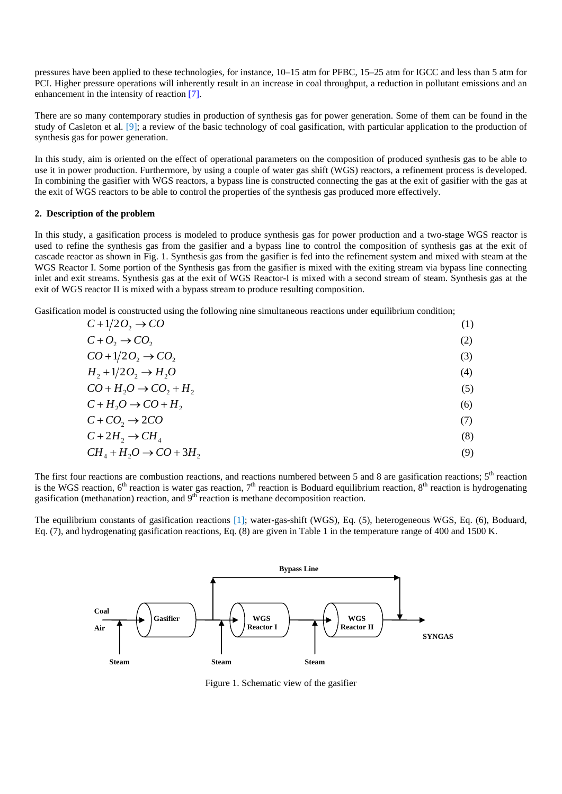pressures have been applied to these technologies, for instance, 10–15 atm for PFBC, 15–25 atm for IGCC and less than 5 atm for PCI. Higher pressure operations will inherently result in an increase in coal throughput, a reduction in pollutant emissions and an enhancement in the intensity of reaction [7].

There are so many contemporary studies in production of synthesis gas for power generation. Some of them can be found in the study of Casleton et al. [9]; a review of the basic technology of coal gasification, with particular application to the production of synthesis gas for power generation.

In this study, aim is oriented on the effect of operational parameters on the composition of produced synthesis gas to be able to use it in power production. Furthermore, by using a couple of water gas shift (WGS) reactors, a refinement process is developed. In combining the gasifier with WGS reactors, a bypass line is constructed connecting the gas at the exit of gasifier with the gas at the exit of WGS reactors to be able to control the properties of the synthesis gas produced more effectively.

#### **2. Description of the problem**

In this study, a gasification process is modeled to produce synthesis gas for power production and a two-stage WGS reactor is used to refine the synthesis gas from the gasifier and a bypass line to control the composition of synthesis gas at the exit of cascade reactor as shown in Fig. 1. Synthesis gas from the gasifier is fed into the refinement system and mixed with steam at the WGS Reactor I. Some portion of the Synthesis gas from the gasifier is mixed with the exiting stream via bypass line connecting inlet and exit streams. Synthesis gas at the exit of WGS Reactor-I is mixed with a second stream of steam. Synthesis gas at the exit of WGS reactor II is mixed with a bypass stream to produce resulting composition.

Gasification model is constructed using the following nine simultaneous reactions under equilibrium condition;

| $C+1/2O_2 \rightarrow CO$        | (1) |
|----------------------------------|-----|
| $C+O_2 \rightarrow CO_2$         | (2) |
| $CO+1/2O_2 \rightarrow CO_2$     | (3) |
| $H_2 + 1/2O_2 \rightarrow H_2O$  | (4) |
| $CO + H2O \rightarrow CO2 + H2$  | (5) |
| $C+H_2O \rightarrow CO+H_2$      | (6) |
| $C + CO_2 \rightarrow 2CO$       | (7) |
| $C+2H_2 \rightarrow CH_4$        | (8) |
| $CH4 + H2O \rightarrow CO + 3H2$ | (9) |
|                                  |     |

The first four reactions are combustion reactions, and reactions numbered between 5 and 8 are gasification reactions;  $5<sup>th</sup>$  reaction is the WGS reaction,  $6<sup>th</sup>$  reaction is water gas reaction,  $7<sup>th</sup>$  reaction is Boduard equilibrium reaction,  $8<sup>th</sup>$  reaction is hydrogenating gasification (methanation) reaction, and  $9<sup>th</sup>$  reaction is methane decomposition reaction.

The equilibrium constants of gasification reactions [1]; water-gas-shift (WGS), Eq. (5), heterogeneous WGS, Eq. (6), Boduard, Eq. (7), and hydrogenating gasification reactions, Eq. (8) are given in Table 1 in the temperature range of 400 and 1500 K.



Figure 1. Schematic view of the gasifier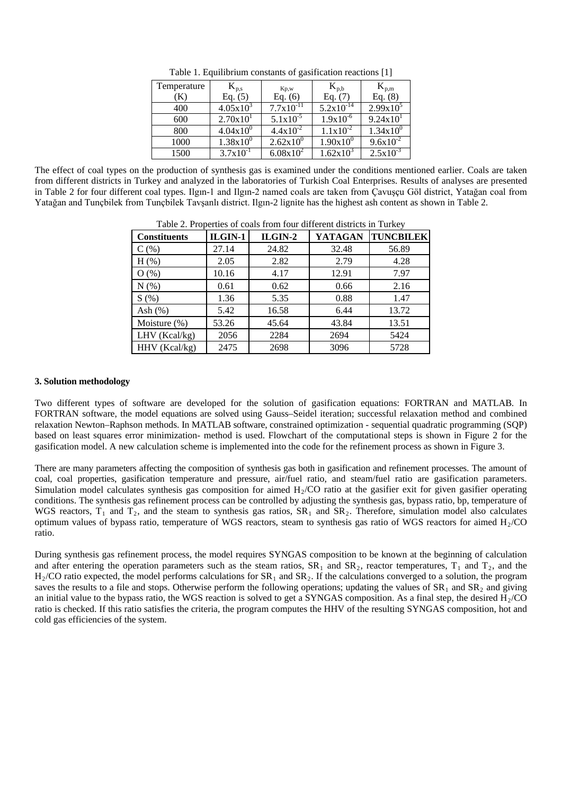| Temperature | $\rm{K}_{p,s}$       | Kp,w           | $K_{p,b}$             | $K_{p,m}$            |
|-------------|----------------------|----------------|-----------------------|----------------------|
| K           | Eq. $(5)$            | Eq. $(6)$      | Eq. $(7)$             | Eq. $(8)$            |
| 400         | $4.05x10^{3}$        | $7.7x10^{-11}$ | $5.2 \times 10^{-14}$ | $2.99x10^5$          |
| 600         | 2.70x10 <sup>1</sup> | $5.1x10^{-5}$  | $1.9x10^{-6}$         | $9.24 \times 10^{1}$ |
| 800         | $4.04x10^{0}$        | $4.4x10^{-2}$  | $1.1x10^{-2}$         | $1.34x10^{0}$        |
| 1000        | $1.38x10^{0}$        | $2.62x10^{0}$  | $1.90x10^{0}$         | $9.6x10^{-2}$        |
| 1500        | $3.7x10^{-1}$        | $6.08x10^{2}$  | $1.62 \times 10^{3}$  | $2.5x10^{-3}$        |

Table 1. Equilibrium constants of gasification reactions [1]

The effect of coal types on the production of synthesis gas is examined under the conditions mentioned earlier. Coals are taken from different districts in Turkey and analyzed in the laboratories of Turkish Coal Enterprises. Results of analyses are presented in Table 2 for four different coal types. Ilgın-1 and Ilgın-2 named coals are taken from Çavuşçu Göl district, Yatağan coal from Yatağan and Tunçbilek from Tunçbilek Tavşanlı district. Ilgın-2 lignite has the highest ash content as shown in Table 2.

Table 2. Properties of coals from four different districts in Turkey

| <b>Constituents</b> | $ILGIN-1$ | ILGIN-2 | <b>YATAGAN</b> | <b>TUNCBILEK</b> |  |  |
|---------------------|-----------|---------|----------------|------------------|--|--|
| $C($ %)             | 27.14     | 24.82   | 32.48          | 56.89            |  |  |
| $H$ (%)             | 2.05      | 2.82    | 2.79           | 4.28             |  |  |
| O(%)                | 10.16     | 4.17    | 12.91          | 7.97             |  |  |
| N(%)                | 0.61      | 0.62    | 0.66           | 2.16             |  |  |
| S(%)                | 1.36      | 5.35    | 0.88           | 1.47             |  |  |
| Ash $(\%)$          | 5.42      | 16.58   | 6.44           | 13.72            |  |  |
| Moisture (%)        | 53.26     | 45.64   | 43.84          | 13.51            |  |  |
| LHV (Kcal/kg)       | 2056      | 2284    | 2694           | 5424             |  |  |
| HHV (Kcal/kg)       | 2475      | 2698    | 3096           | 5728             |  |  |

### **3. Solution methodology**

Two different types of software are developed for the solution of gasification equations: FORTRAN and MATLAB. In FORTRAN software, the model equations are solved using Gauss–Seidel iteration; successful relaxation method and combined relaxation Newton–Raphson methods. In MATLAB software, constrained optimization - sequential quadratic programming (SQP) based on least squares error minimization- method is used. Flowchart of the computational steps is shown in Figure 2 for the gasification model. A new calculation scheme is implemented into the code for the refinement process as shown in Figure 3.

There are many parameters affecting the composition of synthesis gas both in gasification and refinement processes. The amount of coal, coal properties, gasification temperature and pressure, air/fuel ratio, and steam/fuel ratio are gasification parameters. Simulation model calculates synthesis gas composition for aimed  $H<sub>2</sub>/CO$  ratio at the gasifier exit for given gasifier operating conditions. The synthesis gas refinement process can be controlled by adjusting the synthesis gas, bypass ratio, bp, temperature of WGS reactors,  $T_1$  and  $T_2$ , and the steam to synthesis gas ratios,  $SR_1$  and  $SR_2$ . Therefore, simulation model also calculates optimum values of bypass ratio, temperature of WGS reactors, steam to synthesis gas ratio of WGS reactors for aimed  $H<sub>2</sub>/CO$ ratio.

During synthesis gas refinement process, the model requires SYNGAS composition to be known at the beginning of calculation and after entering the operation parameters such as the steam ratios,  $SR_1$  and  $SR_2$ , reactor temperatures,  $T_1$  and  $T_2$ , and the  $H<sub>2</sub>/CO$  ratio expected, the model performs calculations for  $SR<sub>1</sub>$  and  $SR<sub>2</sub>$ . If the calculations converged to a solution, the program saves the results to a file and stops. Otherwise perform the following operations; updating the values of  $SR<sub>1</sub>$  and  $SR<sub>2</sub>$  and giving an initial value to the bypass ratio, the WGS reaction is solved to get a SYNGAS composition. As a final step, the desired  $H<sub>2</sub>/CO$ ratio is checked. If this ratio satisfies the criteria, the program computes the HHV of the resulting SYNGAS composition, hot and cold gas efficiencies of the system.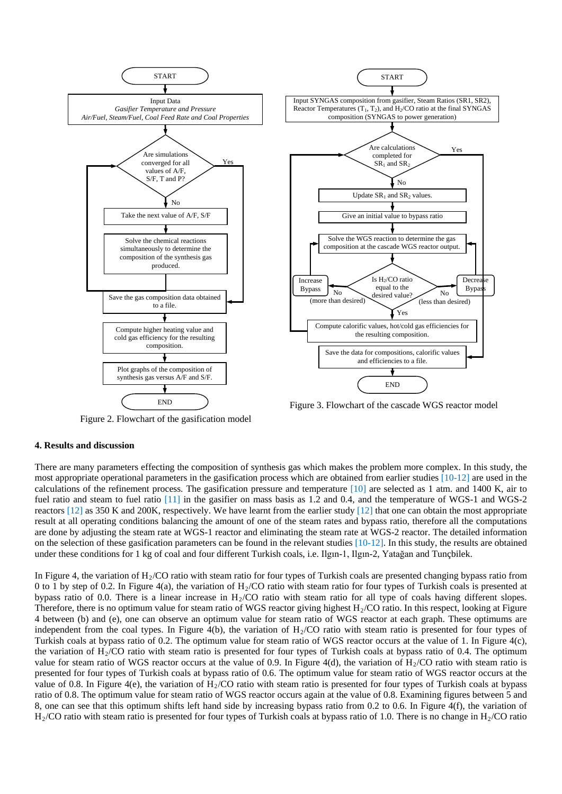

Figure 2. Flowchart of the gasification model

Figure 3. Flowchart of the cascade WGS reactor model

# **4. Results and discussion**

There are many parameters effecting the composition of synthesis gas which makes the problem more complex. In this study, the most appropriate operational parameters in the gasification process which are obtained from earlier studies  $[10-12]$  are used in the calculations of the refinement process. The gasification pressure and temperature [10] are selected as 1 atm. and 1400 K, air to fuel ratio and steam to fuel ratio [11] in the gasifier on mass basis as 1.2 and 0.4, and the temperature of WGS-1 and WGS-2 reactors  $[12]$  as 350 K and 200K, respectively. We have learnt from the earlier study  $[12]$  that one can obtain the most appropriate result at all operating conditions balancing the amount of one of the steam rates and bypass ratio, therefore all the computations are done by adjusting the steam rate at WGS-1 reactor and eliminating the steam rate at WGS-2 reactor. The detailed information on the selection of these gasification parameters can be found in the relevant studies [10-12]. In this study, the results are obtained under these conditions for 1 kg of coal and four different Turkish coals, i.e. Ilgın-1, Ilgın-2, Yatağan and Tunçbilek.

In Figure 4, the variation of  $H<sub>2</sub>/CO$  ratio with steam ratio for four types of Turkish coals are presented changing bypass ratio from 0 to 1 by step of 0.2. In Figure 4(a), the variation of  $H<sub>2</sub>/CO$  ratio with steam ratio for four types of Turkish coals is presented at bypass ratio of 0.0. There is a linear increase in  $H_2/CO$  ratio with steam ratio for all type of coals having different slopes. Therefore, there is no optimum value for steam ratio of WGS reactor giving highest  $H<sub>2</sub>/CO$  ratio. In this respect, looking at Figure 4 between (b) and (e), one can observe an optimum value for steam ratio of WGS reactor at each graph. These optimums are independent from the coal types. In Figure 4(b), the variation of  $H<sub>2</sub>/CO$  ratio with steam ratio is presented for four types of Turkish coals at bypass ratio of 0.2. The optimum value for steam ratio of WGS reactor occurs at the value of 1. In Figure 4(c), the variation of  $H_2/CO$  ratio with steam ratio is presented for four types of Turkish coals at bypass ratio of 0.4. The optimum value for steam ratio of WGS reactor occurs at the value of 0.9. In Figure 4(d), the variation of  $H_2/CO$  ratio with steam ratio is presented for four types of Turkish coals at bypass ratio of 0.6. The optimum value for steam ratio of WGS reactor occurs at the value of 0.8. In Figure 4(e), the variation of  $H_2/CO$  ratio with steam ratio is presented for four types of Turkish coals at bypass ratio of 0.8. The optimum value for steam ratio of WGS reactor occurs again at the value of 0.8. Examining figures between 5 and 8, one can see that this optimum shifts left hand side by increasing bypass ratio from 0.2 to 0.6. In Figure 4(f), the variation of  $H<sub>2</sub>/CO$  ratio with steam ratio is presented for four types of Turkish coals at bypass ratio of 1.0. There is no change in  $H<sub>2</sub>/CO$  ratio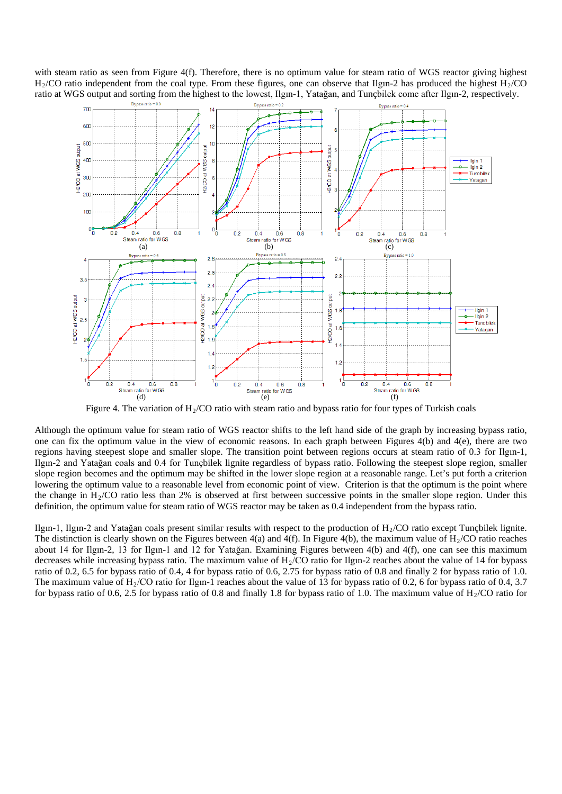with steam ratio as seen from Figure 4(f). Therefore, there is no optimum value for steam ratio of WGS reactor giving highest  $H<sub>2</sub>/CO$  ratio independent from the coal type. From these figures, one can observe that Ilgin-2 has produced the highest  $H<sub>2</sub>/CO$ ratio at WGS output and sorting from the highest to the lowest, Ilgın-1, Yatağan, and Tunçbilek come after Ilgın-2, respectively.



Figure 4. The variation of  $H<sub>2</sub>/CO$  ratio with steam ratio and bypass ratio for four types of Turkish coals

Although the optimum value for steam ratio of WGS reactor shifts to the left hand side of the graph by increasing bypass ratio, one can fix the optimum value in the view of economic reasons. In each graph between Figures 4(b) and 4(e), there are two regions having steepest slope and smaller slope. The transition point between regions occurs at steam ratio of 0.3 for Ilgın-1, Ilgın-2 and Yatağan coals and 0.4 for Tunçbilek lignite regardless of bypass ratio. Following the steepest slope region, smaller slope region becomes and the optimum may be shifted in the lower slope region at a reasonable range. Let's put forth a criterion lowering the optimum value to a reasonable level from economic point of view. Criterion is that the optimum is the point where the change in  $H<sub>2</sub>/CO$  ratio less than 2% is observed at first between successive points in the smaller slope region. Under this definition, the optimum value for steam ratio of WGS reactor may be taken as 0.4 independent from the bypass ratio.

Ilgın-1, Ilgın-2 and Yatağan coals present similar results with respect to the production of H2/CO ratio except Tunçbilek lignite. The distinction is clearly shown on the Figures between  $4(a)$  and  $4(f)$ . In Figure  $4(b)$ , the maximum value of  $H<sub>2</sub>/CO$  ratio reaches about 14 for Ilgın-2, 13 for Ilgın-1 and 12 for Yatağan. Examining Figures between 4(b) and 4(f), one can see this maximum decreases while increasing bypass ratio. The maximum value of  $H<sub>2</sub>/CO$  ratio for Ilgin-2 reaches about the value of 14 for bypass ratio of 0.2, 6.5 for bypass ratio of 0.4, 4 for bypass ratio of 0.6, 2.75 for bypass ratio of 0.8 and finally 2 for bypass ratio of 1.0. The maximum value of  $H<sub>2</sub>/CO$  ratio for Ilgin-1 reaches about the value of 13 for bypass ratio of 0.2, 6 for bypass ratio of 0.4, 3.7 for bypass ratio of 0.6, 2.5 for bypass ratio of 0.8 and finally 1.8 for bypass ratio of 1.0. The maximum value of  $H<sub>2</sub>/CO$  ratio for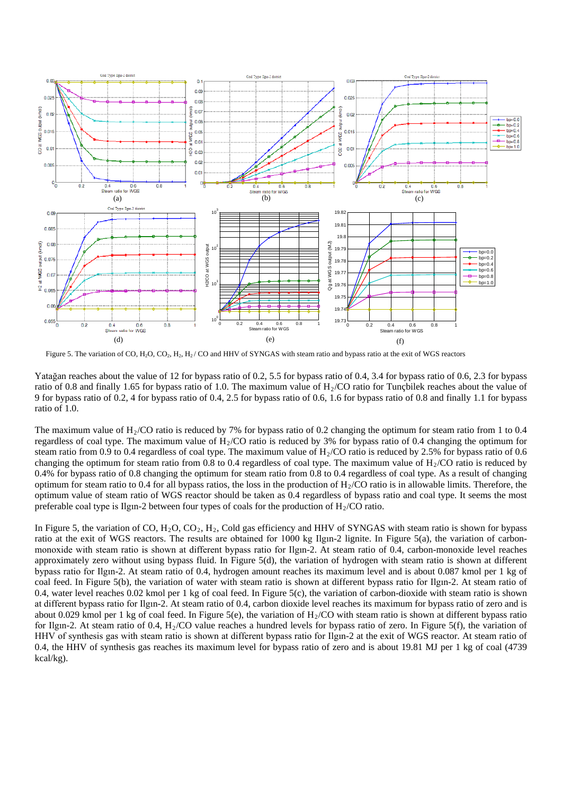

Figure 5. The variation of CO, H<sub>2</sub>O, CO<sub>2</sub>, H<sub>2</sub>, H<sub>2</sub>/ CO and HHV of SYNGAS with steam ratio and bypass ratio at the exit of WGS reactors

Yatağan reaches about the value of 12 for bypass ratio of 0.2, 5.5 for bypass ratio of 0.4, 3.4 for bypass ratio of 0.6, 2.3 for bypass ratio of 0.8 and finally 1.65 for bypass ratio of 1.0. The maximum value of  $H_2/CO$  ratio for Tunçbilek reaches about the value of 9 for bypass ratio of 0.2, 4 for bypass ratio of 0.4, 2.5 for bypass ratio of 0.6, 1.6 for bypass ratio of 0.8 and finally 1.1 for bypass ratio of 1.0.

The maximum value of  $H_2/CO$  ratio is reduced by 7% for bypass ratio of 0.2 changing the optimum for steam ratio from 1 to 0.4 regardless of coal type. The maximum value of  $H_2/CO$  ratio is reduced by 3% for bypass ratio of 0.4 changing the optimum for steam ratio from 0.9 to 0.4 regardless of coal type. The maximum value of  $H<sub>2</sub>/CO$  ratio is reduced by 2.5% for bypass ratio of 0.6 changing the optimum for steam ratio from 0.8 to 0.4 regardless of coal type. The maximum value of  $H<sub>2</sub>/CO$  ratio is reduced by 0.4% for bypass ratio of 0.8 changing the optimum for steam ratio from 0.8 to 0.4 regardless of coal type. As a result of changing optimum for steam ratio to 0.4 for all bypass ratios, the loss in the production of  $H<sub>2</sub>/CO$  ratio is in allowable limits. Therefore, the optimum value of steam ratio of WGS reactor should be taken as 0.4 regardless of bypass ratio and coal type. It seems the most preferable coal type is Ilgin-2 between four types of coals for the production of  $H<sub>2</sub>/CO$  ratio.

In Figure 5, the variation of CO,  $H_2O$ ,  $CO_2$ ,  $H_2$ , Cold gas efficiency and HHV of SYNGAS with steam ratio is shown for bypass ratio at the exit of WGS reactors. The results are obtained for 1000 kg Ilgın-2 lignite. In Figure 5(a), the variation of carbonmonoxide with steam ratio is shown at different bypass ratio for Ilgın-2. At steam ratio of 0.4, carbon-monoxide level reaches approximately zero without using bypass fluid. In Figure 5(d), the variation of hydrogen with steam ratio is shown at different bypass ratio for Ilgın-2. At steam ratio of 0.4, hydrogen amount reaches its maximum level and is about 0.087 kmol per 1 kg of coal feed. In Figure 5(b), the variation of water with steam ratio is shown at different bypass ratio for Ilgın-2. At steam ratio of 0.4, water level reaches 0.02 kmol per 1 kg of coal feed. In Figure 5(c), the variation of carbon-dioxide with steam ratio is shown at different bypass ratio for Ilgın-2. At steam ratio of 0.4, carbon dioxide level reaches its maximum for bypass ratio of zero and is about 0.029 kmol per 1 kg of coal feed. In Figure 5(e), the variation of  $H<sub>2</sub>/CO$  with steam ratio is shown at different bypass ratio for Ilgin-2. At steam ratio of 0.4, H<sub>2</sub>/CO value reaches a hundred levels for bypass ratio of zero. In Figure 5(f), the variation of HHV of synthesis gas with steam ratio is shown at different bypass ratio for Ilgın-2 at the exit of WGS reactor. At steam ratio of 0.4, the HHV of synthesis gas reaches its maximum level for bypass ratio of zero and is about 19.81 MJ per 1 kg of coal (4739 kcal/kg).